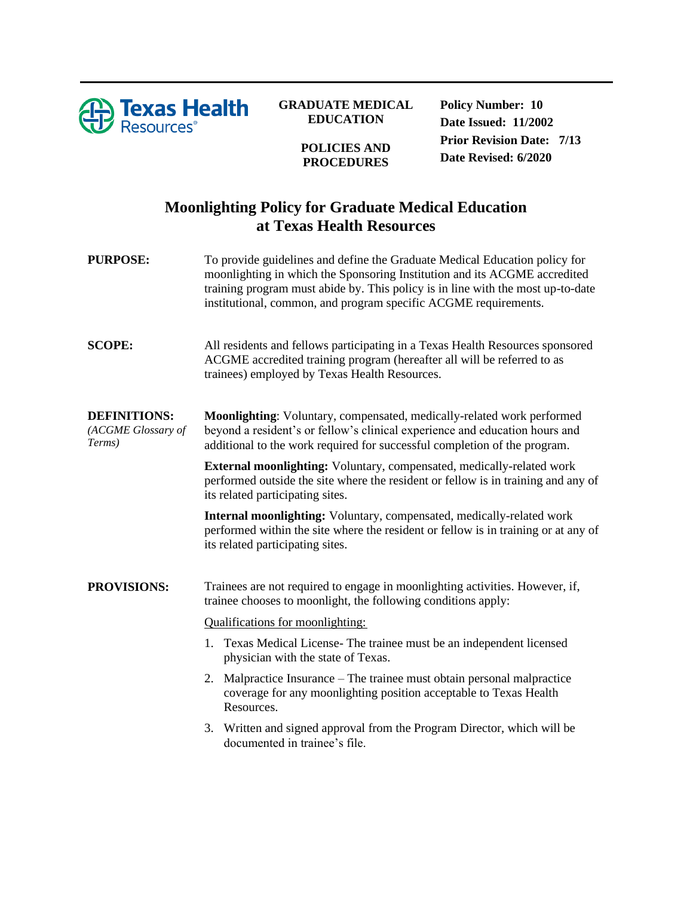

## **GRADUATE MEDICAL EDUCATION**

**POLICIES AND PROCEDURES**

**Policy Number: 10 Date Issued: 11/2002 Prior Revision Date: 7/13 Date Revised: 6/2020**

## **Moonlighting Policy for Graduate Medical Education at Texas Health Resources**

| <b>PURPOSE:</b>                                     | To provide guidelines and define the Graduate Medical Education policy for<br>moonlighting in which the Sponsoring Institution and its ACGME accredited<br>training program must abide by. This policy is in line with the most up-to-date<br>institutional, common, and program specific ACGME requirements. |
|-----------------------------------------------------|---------------------------------------------------------------------------------------------------------------------------------------------------------------------------------------------------------------------------------------------------------------------------------------------------------------|
| <b>SCOPE:</b>                                       | All residents and fellows participating in a Texas Health Resources sponsored<br>ACGME accredited training program (hereafter all will be referred to as<br>trainees) employed by Texas Health Resources.                                                                                                     |
| <b>DEFINITIONS:</b><br>(ACGME Glossary of<br>Terms) | Moonlighting: Voluntary, compensated, medically-related work performed<br>beyond a resident's or fellow's clinical experience and education hours and<br>additional to the work required for successful completion of the program.                                                                            |
|                                                     | External moonlighting: Voluntary, compensated, medically-related work<br>performed outside the site where the resident or fellow is in training and any of<br>its related participating sites.                                                                                                                |
|                                                     | Internal moonlighting: Voluntary, compensated, medically-related work<br>performed within the site where the resident or fellow is in training or at any of<br>its related participating sites.                                                                                                               |
| <b>PROVISIONS:</b>                                  | Trainees are not required to engage in moonlighting activities. However, if,<br>trainee chooses to moonlight, the following conditions apply:                                                                                                                                                                 |
|                                                     | <b>Qualifications for moonlighting:</b>                                                                                                                                                                                                                                                                       |
|                                                     | 1. Texas Medical License-The trainee must be an independent licensed<br>physician with the state of Texas.                                                                                                                                                                                                    |
|                                                     | Malpractice Insurance – The trainee must obtain personal malpractice<br>2.<br>coverage for any moonlighting position acceptable to Texas Health<br>Resources.                                                                                                                                                 |
|                                                     | Written and signed approval from the Program Director, which will be<br>3.<br>documented in trainee's file.                                                                                                                                                                                                   |